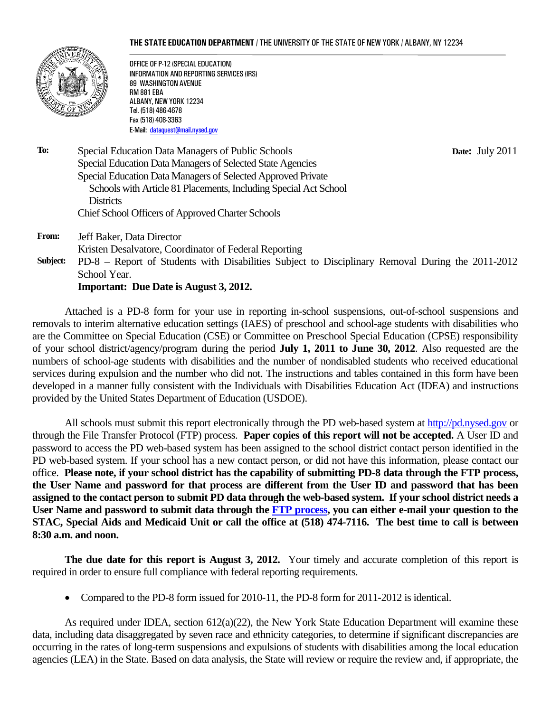#### **THE STATE EDUCATION DEPARTMENT** / THE UNIVERSITY OF THE STATE OF NEW YORK / ALBANY, NY 12234



OFFICE OF P-12 (SPECIAL EDUCATION) INFORMATION AND REPORTING SERVICES (IRS) 89 WASHINGTON AVENUE RM 881 EBA ALBANY, NEW YORK 12234 Tel. (518) 486-4678 Fax (518) 408-3363 E-Mail: dataquest@mail.nysed.gov

 **Date:** July 2011

- **To:** Special Education Data Managers of Public Schools Special Education Data Managers of Selected State Agencies Special Education Data Managers of Selected Approved Private Schools with Article 81 Placements, Including Special Act School **Districts** Chief School Officers of Approved Charter Schools
- **From:** Jeff Baker, Data Director Kristen Desalvatore, Coordinator of Federal Reporting
- **Subject:** PD-8 Report of Students with Disabilities Subject to Disciplinary Removal During the 2011-2012 School Year.

**Important: Due Date is August 3, 2012.** 

Attached is a PD-8 form for your use in reporting in-school suspensions, out-of-school suspensions and removals to interim alternative education settings (IAES) of preschool and school-age students with disabilities who are the Committee on Special Education (CSE) or Committee on Preschool Special Education (CPSE) responsibility of your school district/agency/program during the period **July 1, 2011 to June 30, 2012**. Also requested are the numbers of school-age students with disabilities and the number of nondisabled students who received educational services during expulsion and the number who did not. The instructions and tables contained in this form have been developed in a manner fully consistent with the Individuals with Disabilities Education Act (IDEA) and instructions provided by the United States Department of Education (USDOE).

All schools must submit this report electronically through the PD web-based system at http://pd.nysed.gov or through the File Transfer Protocol (FTP) process. **Paper copies of this report will not be accepted.** A User ID and password to access the PD web-based system has been assigned to the school district contact person identified in the PD web-based system. If your school has a new contact person, or did not have this information, please contact our office. **Please note, if your school district has the capability of submitting PD-8 data through the FTP process, the User Name and password for that process are different from the User ID and password that has been assigned to the contact person to submit PD data through the web-based system. If your school district needs a User Name and password to submit data through the FTP process, you can either e-mail your question to the STAC, Special Aids and Medicaid Unit or call the office at (518) 474-7116. The best time to call is between 8:30 a.m. and noon.** 

**The due date for this report is August 3, 2012.** Your timely and accurate completion of this report is required in order to ensure full compliance with federal reporting requirements.

• Compared to the PD-8 form issued for 2010-11, the PD-8 form for 2011-2012 is identical.

As required under IDEA, section 612(a)(22), the New York State Education Department will examine these data, including data disaggregated by seven race and ethnicity categories, to determine if significant discrepancies are occurring in the rates of long-term suspensions and expulsions of students with disabilities among the local education agencies (LEA) in the State. Based on data analysis, the State will review or require the review and, if appropriate, the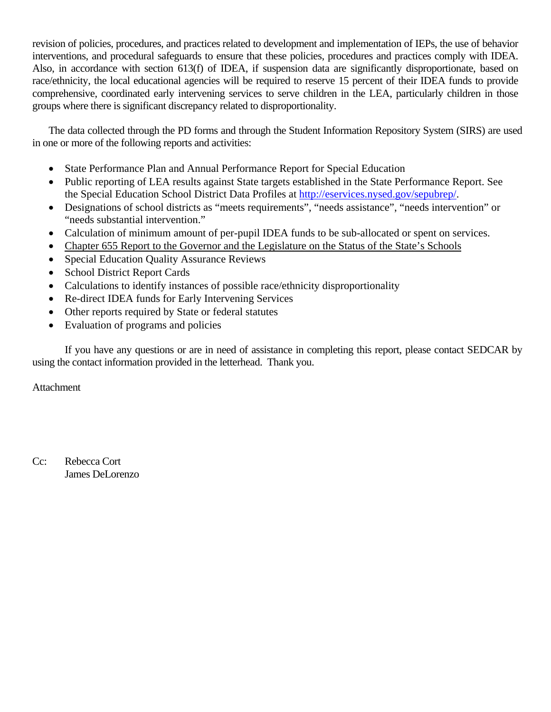revision of policies, procedures, and practices related to development and implementation of IEPs, the use of behavior interventions, and procedural safeguards to ensure that these policies, procedures and practices comply with IDEA. Also, in accordance with section 613(f) of IDEA, if suspension data are significantly disproportionate, based on race/ethnicity, the local educational agencies will be required to reserve 15 percent of their IDEA funds to provide comprehensive, coordinated early intervening services to serve children in the LEA, particularly children in those groups where there is significant discrepancy related to disproportionality.

The data collected through the PD forms and through the Student Information Repository System (SIRS) are used in one or more of the following reports and activities:

- State Performance Plan and Annual Performance Report for Special Education
- Public reporting of LEA results against State targets established in the State Performance Report. See the Special Education School District Data Profiles at http://eservices.nysed.gov/sepubrep/.
- • Designations of school districts as "meets requirements", "needs assistance", "needs intervention" or "needs substantial intervention."
- Calculation of minimum amount of per-pupil IDEA funds to be sub-allocated or spent on services.
- Chapter 655 Report to the Governor and the Legislature on the Status of the State's Schools
- Special Education Quality Assurance Reviews
- School District Report Cards
- Calculations to identify instances of possible race/ethnicity disproportionality
- Re-direct IDEA funds for Early Intervening Services
- Other reports required by State or federal statutes
- Evaluation of programs and policies

If you have any questions or are in need of assistance in completing this report, please contact SEDCAR by using the contact information provided in the letterhead. Thank you.

Attachment

Cc: Rebecca Cort James DeLorenzo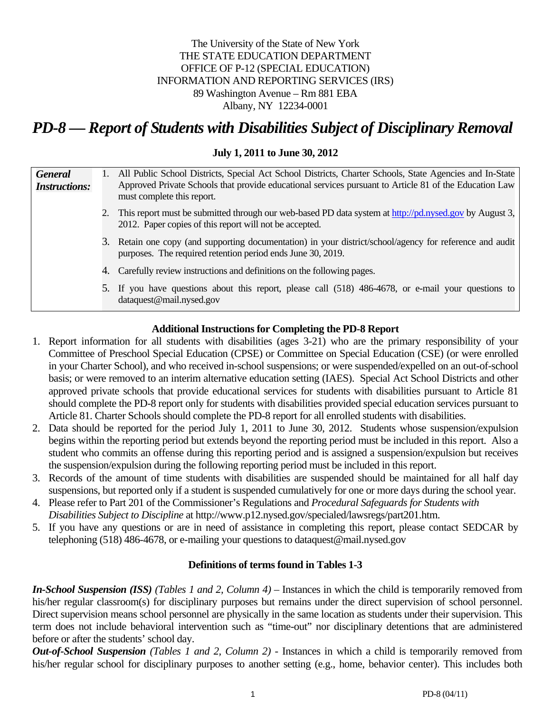# The University of the State of New York THE STATE EDUCATION DEPARTMENT OFFICE OF P-12 (SPECIAL EDUCATION) INFORMATION AND REPORTING SERVICES (IRS) 89 Washington Avenue – Rm 881 EBA Albany, NY 12234-0001

# *PD-8 — Report of Students with Disabilities Subject of Disciplinary Removal*

## **July 1, 2011 to June 30, 2012**

| <b>General</b><br><b>Instructions:</b> |                                                                                                                                                                         | 1. All Public School Districts, Special Act School Districts, Charter Schools, State Agencies and In-State<br>Approved Private Schools that provide educational services pursuant to Article 81 of the Education Law<br>must complete this report. |  |  |  |  |
|----------------------------------------|-------------------------------------------------------------------------------------------------------------------------------------------------------------------------|----------------------------------------------------------------------------------------------------------------------------------------------------------------------------------------------------------------------------------------------------|--|--|--|--|
|                                        |                                                                                                                                                                         | 2. This report must be submitted through our web-based PD data system at http://pd.nysed.gov by August 3,<br>2012. Paper copies of this report will not be accepted.                                                                               |  |  |  |  |
|                                        | 3. Retain one copy (and supporting documentation) in your district/school/agency for reference and audit<br>purposes. The required retention period ends June 30, 2019. |                                                                                                                                                                                                                                                    |  |  |  |  |
|                                        |                                                                                                                                                                         | 4. Carefully review instructions and definitions on the following pages.                                                                                                                                                                           |  |  |  |  |
|                                        |                                                                                                                                                                         | 5. If you have questions about this report, please call (518) 486-4678, or e-mail your questions to<br>dataquest@mail.nysed.gov                                                                                                                    |  |  |  |  |

## **Additional Instructions for Completing the PD-8 Report**

- 1. Report information for all students with disabilities (ages 3-21) who are the primary responsibility of your Committee of Preschool Special Education (CPSE) or Committee on Special Education (CSE) (or were enrolled in your Charter School), and who received in-school suspensions; or were suspended/expelled on an out-of-school basis; or were removed to an interim alternative education setting (IAES). Special Act School Districts and other approved private schools that provide educational services for students with disabilities pursuant to Article 81 should complete the PD-8 report only for students with disabilities provided special education services pursuant to Article 81. Charter Schools should complete the PD-8 report for all enrolled students with disabilities.
- 2. Data should be reported for the period July 1, 2011 to June 30, 2012. Students whose suspension/expulsion begins within the reporting period but extends beyond the reporting period must be included in this report. Also a student who commits an offense during this reporting period and is assigned a suspension/expulsion but receives the suspension/expulsion during the following reporting period must be included in this report.
- 3. Records of the amount of time students with disabilities are suspended should be maintained for all half day suspensions, but reported only if a student is suspended cumulatively for one or more days during the school year.
- Disabilities Subject to Discipline at http://www.p12.nysed.gov/specialed/lawsregs/part201.htm. 4. Please refer to Part 201 of the Commissioner's Regulations and *Procedural Safeguards for Students with*
- 5. If you have any questions or are in need of assistance in completing this report, please contact SEDCAR by telephoning (518) 486-4678, or e-mailing your questions to dataquest@mail.nysed.gov

## **Definitions of terms found in Tables 1-3**

*In-School Suspension (ISS) (Tables 1 and 2, Column 4)* – Instances in which the child is temporarily removed from his/her regular classroom(s) for disciplinary purposes but remains under the direct supervision of school personnel. Direct supervision means school personnel are physically in the same location as students under their supervision. This term does not include behavioral intervention such as "time-out" nor disciplinary detentions that are administered before or after the students' school day.

*Out-of-School Suspension (Tables 1 and 2, Column 2) -* Instances in which a child is temporarily removed from his/her regular school for disciplinary purposes to another setting (e.g., home, behavior center). This includes both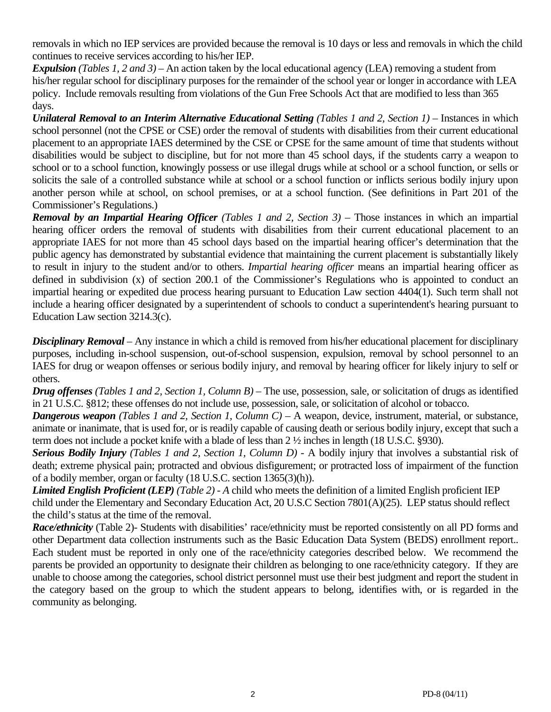removals in which no IEP services are provided because the removal is 10 days or less and removals in which the child continues to receive services according to his/her IEP.

*Expulsion (Tables 1, 2 and 3)* – An action taken by the local educational agency (LEA) removing a student from his/her regular school for disciplinary purposes for the remainder of the school year or longer in accordance with LEA policy. Include removals resulting from violations of the Gun Free Schools Act that are modified to less than 365 days.

*Unilateral Removal to an Interim Alternative Educational Setting (Tables 1 and 2, Section 1)* – Instances in which school personnel (not the CPSE or CSE) order the removal of students with disabilities from their current educational placement to an appropriate IAES determined by the CSE or CPSE for the same amount of time that students without disabilities would be subject to discipline, but for not more than 45 school days, if the students carry a weapon to school or to a school function, knowingly possess or use illegal drugs while at school or a school function, or sells or solicits the sale of a controlled substance while at school or a school function or inflicts serious bodily injury upon another person while at school, on school premises, or at a school function. (See definitions in Part 201 of the Commissioner's Regulations.)

*Removal by an Impartial Hearing Officer (Tables 1 and 2, Section 3)* – Those instances in which an impartial hearing officer orders the removal of students with disabilities from their current educational placement to an appropriate IAES for not more than 45 school days based on the impartial hearing officer's determination that the public agency has demonstrated by substantial evidence that maintaining the current placement is substantially likely to result in injury to the student and/or to others. *Impartial hearing officer* means an impartial hearing officer as defined in subdivision (x) of section 200.1 of the Commissioner's Regulations who is appointed to conduct an impartial hearing or expedited due process hearing pursuant to Education Law section 4404(1). Such term shall not include a hearing officer designated by a superintendent of schools to conduct a superintendent's hearing pursuant to Education Law section 3214.3(c).

*Disciplinary Removal* – Any instance in which a child is removed from his/her educational placement for disciplinary purposes, including in-school suspension, out-of-school suspension, expulsion, removal by school personnel to an IAES for drug or weapon offenses or serious bodily injury, and removal by hearing officer for likely injury to self or others.

*Drug offenses (Tables 1 and 2, Section 1, Column B)* – The use, possession, sale, or solicitation of drugs as identified in 21 U.S.C. §812; these offenses do not include use, possession, sale, or solicitation of alcohol or tobacco.

*Dangerous weapon (Tables 1 and 2, Section 1, Column C)* – A weapon, device, instrument, material, or substance, animate or inanimate, that is used for, or is readily capable of causing death or serious bodily injury, except that such a term does not include a pocket knife with a blade of less than 2 ½ inches in length (18 U.S.C. §930).

*Serious Bodily Injury (Tables 1 and 2, Section 1, Column D) -* A bodily injury that involves a substantial risk of death; extreme physical pain; protracted and obvious disfigurement; or protracted loss of impairment of the function of a bodily member, organ or faculty (18 U.S.C. section 1365(3)(h)).

*Limited English Proficient (LEP) (Table 2) - A* child who meets the definition of a limited English proficient IEP child under the Elementary and Secondary Education Act, 20 U.S.C Section 7801(A)(25). LEP status should reflect the child's status at the time of the removal.

 other Department data collection instruments such as the Basic Education Data System (BEDS) enrollment report.. *Race/ethnicity* (Table 2)- Students with disabilities' race/ethnicity must be reported consistently on all PD forms and Each student must be reported in only one of the race/ethnicity categories described below. We recommend the parents be provided an opportunity to designate their children as belonging to one race/ethnicity category. If they are unable to choose among the categories, school district personnel must use their best judgment and report the student in the category based on the group to which the student appears to belong, identifies with, or is regarded in the community as belonging.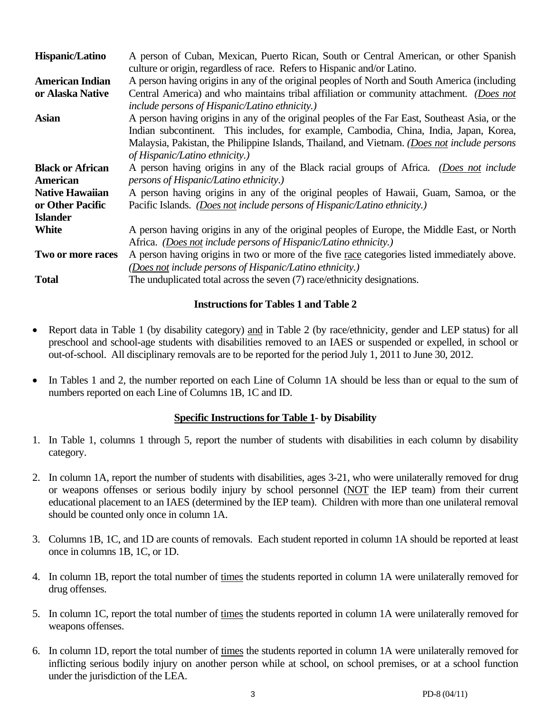| <b>Hispanic/Latino</b>  | A person of Cuban, Mexican, Puerto Rican, South or Central American, or other Spanish<br>culture or origin, regardless of race. Refers to Hispanic and/or Latino. |  |  |  |  |
|-------------------------|-------------------------------------------------------------------------------------------------------------------------------------------------------------------|--|--|--|--|
| <b>American Indian</b>  | A person having origins in any of the original peoples of North and South America (including                                                                      |  |  |  |  |
| or Alaska Native        | Central America) and who maintains tribal affiliation or community attachment. (Does not                                                                          |  |  |  |  |
|                         | include persons of Hispanic/Latino ethnicity.)                                                                                                                    |  |  |  |  |
| <b>Asian</b>            | A person having origins in any of the original peoples of the Far East, Southeast Asia, or the                                                                    |  |  |  |  |
|                         | Indian subcontinent. This includes, for example, Cambodia, China, India, Japan, Korea,                                                                            |  |  |  |  |
|                         | Malaysia, Pakistan, the Philippine Islands, Thailand, and Vietnam. (Does not include persons                                                                      |  |  |  |  |
|                         | of Hispanic/Latino ethnicity.)                                                                                                                                    |  |  |  |  |
| <b>Black or African</b> | A person having origins in any of the Black racial groups of Africa. (Does not include                                                                            |  |  |  |  |
| American                | <i>persons of Hispanic/Latino ethnicity.)</i>                                                                                                                     |  |  |  |  |
| <b>Native Hawaiian</b>  | A person having origins in any of the original peoples of Hawaii, Guam, Samoa, or the                                                                             |  |  |  |  |
| or Other Pacific        | Pacific Islands. (Does not include persons of Hispanic/Latino ethnicity.)                                                                                         |  |  |  |  |
| <b>Islander</b>         |                                                                                                                                                                   |  |  |  |  |
| <b>White</b>            | A person having origins in any of the original peoples of Europe, the Middle East, or North                                                                       |  |  |  |  |
|                         | Africa. (Does not include persons of Hispanic/Latino ethnicity.)                                                                                                  |  |  |  |  |
| Two or more races       | A person having origins in two or more of the five race categories listed immediately above.                                                                      |  |  |  |  |
|                         | (Does not include persons of Hispanic/Latino ethnicity.)                                                                                                          |  |  |  |  |
| <b>Total</b>            | The unduplicated total across the seven (7) race/ethnicity designations.                                                                                          |  |  |  |  |

# **Instructions for Tables 1 and Table 2**

- Report data in Table 1 (by disability category) and in Table 2 (by race/ethnicity, gender and LEP status) for all preschool and school-age students with disabilities removed to an IAES or suspended or expelled, in school or out-of-school. All disciplinary removals are to be reported for the period July 1, 2011 to June 30, 2012.
- In Tables 1 and 2, the number reported on each Line of Column 1A should be less than or equal to the sum of numbers reported on each Line of Columns 1B, 1C and ID.

# **Specific Instructions for Table 1- by Disability**

- 1. In Table 1, columns 1 through 5, report the number of students with disabilities in each column by disability category.
- 2. In column 1A, report the number of students with disabilities, ages 3-21, who were unilaterally removed for drug or weapons offenses or serious bodily injury by school personnel (NOT the IEP team) from their current educational placement to an IAES (determined by the IEP team). Children with more than one unilateral removal should be counted only once in column 1A.
- 3. Columns 1B, 1C, and 1D are counts of removals. Each student reported in column 1A should be reported at least once in columns 1B, 1C, or 1D.
- 4. In column 1B, report the total number of times the students reported in column 1A were unilaterally removed for drug offenses.
- 5. In column 1C, report the total number of times the students reported in column 1A were unilaterally removed for weapons offenses.
- 6. In column 1D, report the total number of times the students reported in column 1A were unilaterally removed for inflicting serious bodily injury on another person while at school, on school premises, or at a school function under the jurisdiction of the LEA.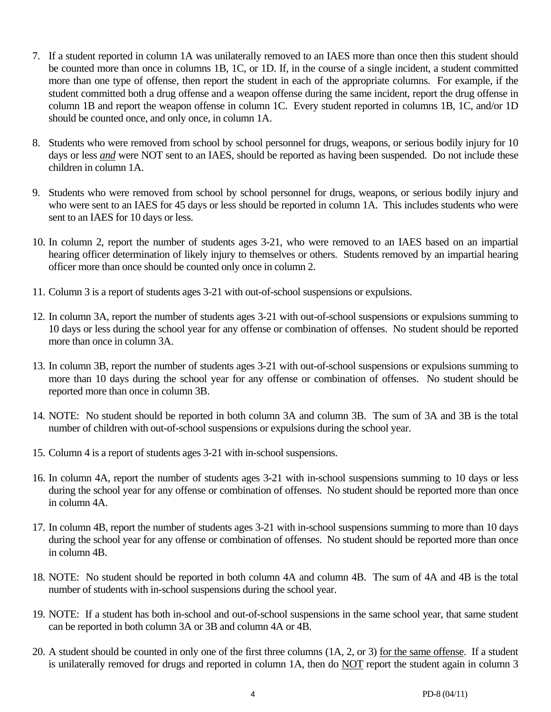- 7. If a student reported in column 1A was unilaterally removed to an IAES more than once then this student should be counted more than once in columns 1B, 1C, or 1D. If, in the course of a single incident, a student committed more than one type of offense, then report the student in each of the appropriate columns. For example, if the student committed both a drug offense and a weapon offense during the same incident, report the drug offense in column 1B and report the weapon offense in column 1C. Every student reported in columns 1B, 1C, and/or 1D should be counted once, and only once, in column 1A.
- 8. Students who were removed from school by school personnel for drugs, weapons, or serious bodily injury for 10 days or less *and* were NOT sent to an IAES, should be reported as having been suspended. Do not include these children in column 1A.
- 9. Students who were removed from school by school personnel for drugs, weapons, or serious bodily injury and who were sent to an IAES for 45 days or less should be reported in column 1A. This includes students who were sent to an IAES for 10 days or less.
- 10. In column 2, report the number of students ages 3-21, who were removed to an IAES based on an impartial hearing officer determination of likely injury to themselves or others. Students removed by an impartial hearing officer more than once should be counted only once in column 2.
- 11. Column 3 is a report of students ages 3-21 with out-of-school suspensions or expulsions.
- 12. In column 3A, report the number of students ages 3-21 with out-of-school suspensions or expulsions summing to 10 days or less during the school year for any offense or combination of offenses. No student should be reported more than once in column 3A.
- 13. In column 3B, report the number of students ages 3-21 with out-of-school suspensions or expulsions summing to more than 10 days during the school year for any offense or combination of offenses. No student should be reported more than once in column 3B.
- 14. NOTE: No student should be reported in both column 3A and column 3B. The sum of 3A and 3B is the total number of children with out-of-school suspensions or expulsions during the school year.
- 15. Column 4 is a report of students ages 3-21 with in-school suspensions.
- 16. In column 4A, report the number of students ages 3-21 with in-school suspensions summing to 10 days or less during the school year for any offense or combination of offenses. No student should be reported more than once in column 4A.
- 17. In column 4B, report the number of students ages 3-21 with in-school suspensions summing to more than 10 days during the school year for any offense or combination of offenses. No student should be reported more than once in column 4B.
- 18. NOTE: No student should be reported in both column 4A and column 4B. The sum of 4A and 4B is the total number of students with in-school suspensions during the school year.
- 19. NOTE: If a student has both in-school and out-of-school suspensions in the same school year, that same student can be reported in both column 3A or 3B and column 4A or 4B.
- 20. A student should be counted in only one of the first three columns (1A, 2, or 3) for the same offense. If a student is unilaterally removed for drugs and reported in column 1A, then do NOT report the student again in column 3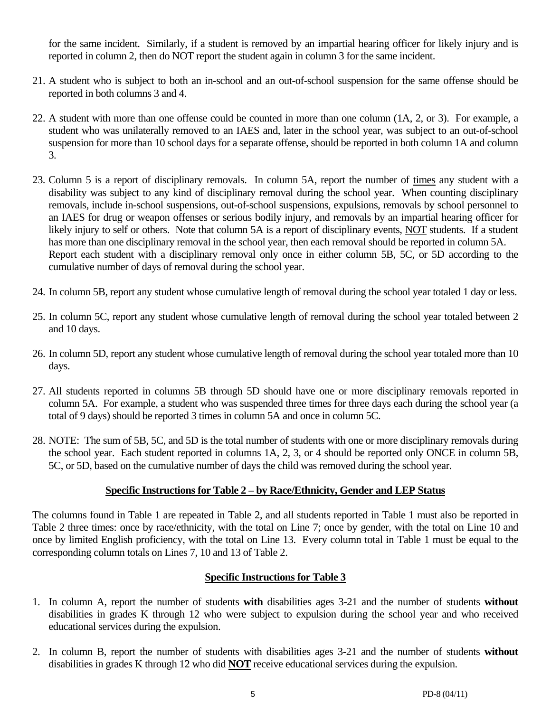for the same incident. Similarly, if a student is removed by an impartial hearing officer for likely injury and is reported in column 2, then do NOT report the student again in column 3 for the same incident.

- 21. A student who is subject to both an in-school and an out-of-school suspension for the same offense should be reported in both columns 3 and 4.
- 22. A student with more than one offense could be counted in more than one column (1A, 2, or 3). For example, a student who was unilaterally removed to an IAES and, later in the school year, was subject to an out-of-school suspension for more than 10 school days for a separate offense, should be reported in both column 1A and column 3.
- 23. Column 5 is a report of disciplinary removals. In column 5A, report the number of times any student with a disability was subject to any kind of disciplinary removal during the school year. When counting disciplinary removals, include in-school suspensions, out-of-school suspensions, expulsions, removals by school personnel to an IAES for drug or weapon offenses or serious bodily injury, and removals by an impartial hearing officer for likely injury to self or others. Note that column 5A is a report of disciplinary events, NOT students. If a student has more than one disciplinary removal in the school year, then each removal should be reported in column 5A. Report each student with a disciplinary removal only once in either column 5B, 5C, or 5D according to the cumulative number of days of removal during the school year.
- 24. In column 5B, report any student whose cumulative length of removal during the school year totaled 1 day or less.
- 25. In column 5C, report any student whose cumulative length of removal during the school year totaled between 2 and 10 days.
- 26. In column 5D, report any student whose cumulative length of removal during the school year totaled more than 10 days.
- 27. All students reported in columns 5B through 5D should have one or more disciplinary removals reported in column 5A. For example, a student who was suspended three times for three days each during the school year (a total of 9 days) should be reported 3 times in column 5A and once in column 5C.
- 28. NOTE: The sum of 5B, 5C, and 5D is the total number of students with one or more disciplinary removals during the school year. Each student reported in columns 1A, 2, 3, or 4 should be reported only ONCE in column 5B, 5C, or 5D, based on the cumulative number of days the child was removed during the school year.

## **Specific Instructions for Table 2 – by Race/Ethnicity, Gender and LEP Status**

The columns found in Table 1 are repeated in Table 2, and all students reported in Table 1 must also be reported in Table 2 three times: once by race/ethnicity, with the total on Line 7; once by gender, with the total on Line 10 and once by limited English proficiency, with the total on Line 13. Every column total in Table 1 must be equal to the corresponding column totals on Lines 7, 10 and 13 of Table 2.

# **Specific Instructions for Table 3**

- 1. In column A, report the number of students **with** disabilities ages 3-21 and the number of students **without**  disabilities in grades K through 12 who were subject to expulsion during the school year and who received educational services during the expulsion.
- 2. In column B, report the number of students with disabilities ages 3-21 and the number of students **without**  disabilities in grades K through 12 who did **NOT** receive educational services during the expulsion.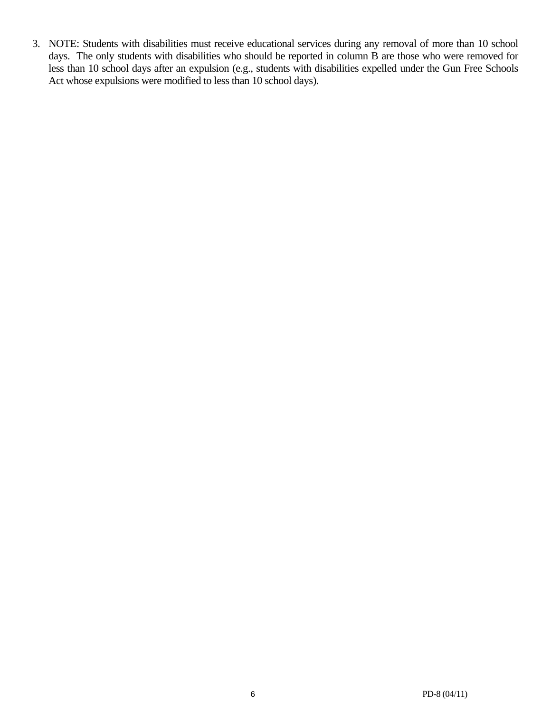3. NOTE: Students with disabilities must receive educational services during any removal of more than 10 school days. The only students with disabilities who should be reported in column B are those who were removed for less than 10 school days after an expulsion (e.g., students with disabilities expelled under the Gun Free Schools Act whose expulsions were modified to less than 10 school days).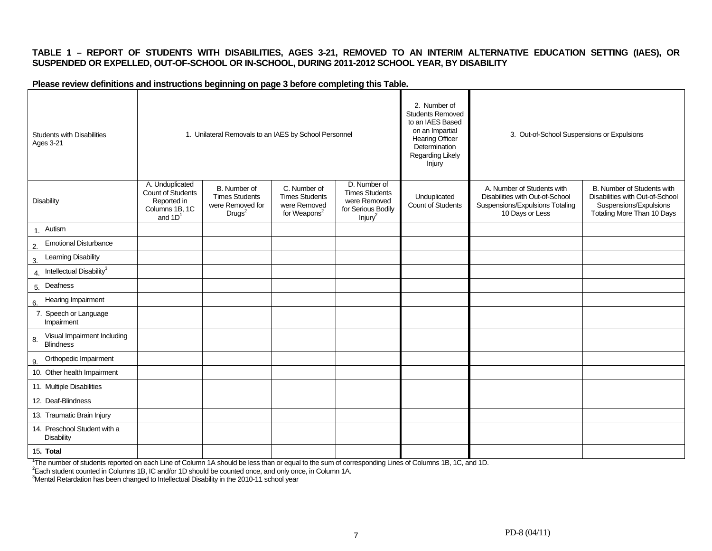#### **TABLE 1 – REPORT OF STUDENTS WITH DISABILITIES, AGES 3-21, REMOVED TO AN INTERIM ALTERNATIVE EDUCATION SETTING (IAES), OR SUSPENDED OR EXPELLED, OUT-OF-SCHOOL OR IN-SCHOOL, DURING 2011-2012 SCHOOL YEAR, BY DISABILITY**

#### **Please review definitions and instructions beginning on page 3 before completing this Table.**

| <b>Students with Disabilities</b><br><b>Ages 3-21</b> | 1. Unilateral Removals to an IAES by School Personnel                              |                                                                                 |                                                                                   |                                                                                                    | 2. Number of<br><b>Students Removed</b><br>to an IAES Based<br>on an Impartial<br><b>Hearing Officer</b><br>Determination<br>Regarding Likely<br>Injury | 3. Out-of-School Suspensions or Expulsions                                                                          |                                                                                                                       |
|-------------------------------------------------------|------------------------------------------------------------------------------------|---------------------------------------------------------------------------------|-----------------------------------------------------------------------------------|----------------------------------------------------------------------------------------------------|---------------------------------------------------------------------------------------------------------------------------------------------------------|---------------------------------------------------------------------------------------------------------------------|-----------------------------------------------------------------------------------------------------------------------|
| <b>Disability</b>                                     | A. Unduplicated<br>Count of Students<br>Reported in<br>Columns 1B, 1C<br>and $1D1$ | B. Number of<br><b>Times Students</b><br>were Removed for<br>Drugs <sup>2</sup> | C. Number of<br><b>Times Students</b><br>were Removed<br>for Weapons <sup>2</sup> | D. Number of<br><b>Times Students</b><br>were Removed<br>for Serious Bodily<br>Injury <sup>2</sup> | Unduplicated<br>Count of Students                                                                                                                       | A. Number of Students with<br>Disabilities with Out-of-School<br>Suspensions/Expulsions Totaling<br>10 Days or Less | B. Number of Students with<br>Disabilities with Out-of-School<br>Suspensions/Expulsions<br>Totaling More Than 10 Days |
| 1. Autism                                             |                                                                                    |                                                                                 |                                                                                   |                                                                                                    |                                                                                                                                                         |                                                                                                                     |                                                                                                                       |
| <b>Emotional Disturbance</b><br>2.                    |                                                                                    |                                                                                 |                                                                                   |                                                                                                    |                                                                                                                                                         |                                                                                                                     |                                                                                                                       |
| <b>Learning Disability</b><br>3.                      |                                                                                    |                                                                                 |                                                                                   |                                                                                                    |                                                                                                                                                         |                                                                                                                     |                                                                                                                       |
| 4. Intellectual Disability <sup>3</sup>               |                                                                                    |                                                                                 |                                                                                   |                                                                                                    |                                                                                                                                                         |                                                                                                                     |                                                                                                                       |
| 5. Deafness                                           |                                                                                    |                                                                                 |                                                                                   |                                                                                                    |                                                                                                                                                         |                                                                                                                     |                                                                                                                       |
| Hearing Impairment<br>6.                              |                                                                                    |                                                                                 |                                                                                   |                                                                                                    |                                                                                                                                                         |                                                                                                                     |                                                                                                                       |
| 7. Speech or Language<br>Impairment                   |                                                                                    |                                                                                 |                                                                                   |                                                                                                    |                                                                                                                                                         |                                                                                                                     |                                                                                                                       |
| Visual Impairment Including<br>8.<br><b>Blindness</b> |                                                                                    |                                                                                 |                                                                                   |                                                                                                    |                                                                                                                                                         |                                                                                                                     |                                                                                                                       |
| Orthopedic Impairment<br>9.                           |                                                                                    |                                                                                 |                                                                                   |                                                                                                    |                                                                                                                                                         |                                                                                                                     |                                                                                                                       |
| 10. Other health Impairment                           |                                                                                    |                                                                                 |                                                                                   |                                                                                                    |                                                                                                                                                         |                                                                                                                     |                                                                                                                       |
| 11. Multiple Disabilities                             |                                                                                    |                                                                                 |                                                                                   |                                                                                                    |                                                                                                                                                         |                                                                                                                     |                                                                                                                       |
| 12. Deaf-Blindness                                    |                                                                                    |                                                                                 |                                                                                   |                                                                                                    |                                                                                                                                                         |                                                                                                                     |                                                                                                                       |
| 13. Traumatic Brain Injury                            |                                                                                    |                                                                                 |                                                                                   |                                                                                                    |                                                                                                                                                         |                                                                                                                     |                                                                                                                       |
| 14. Preschool Student with a<br><b>Disability</b>     |                                                                                    |                                                                                 |                                                                                   |                                                                                                    |                                                                                                                                                         |                                                                                                                     |                                                                                                                       |
| 15. Total                                             |                                                                                    |                                                                                 |                                                                                   |                                                                                                    |                                                                                                                                                         |                                                                                                                     |                                                                                                                       |

<sup>1</sup>The number of students reported on each Line of Column 1A should be less than or equal to the sum of corresponding Lines of Columns 1B, 1C, and 1D.<br><sup>2</sup>Each student counted in Columns 1B, IC and/or 1D should be counted o

3Mental Retardation has been changed to Intellectual Disability in the 2010-11 school year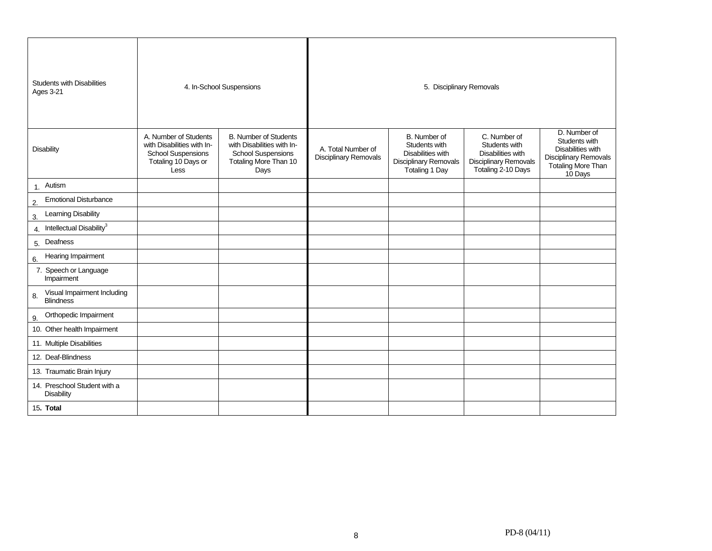| <b>Students with Disabilities</b><br><b>Ages 3-21</b> |                                                                                                                 | 4. In-School Suspensions                                                                                                 |                                                    | 5. Disciplinary Removals                                                                                    |                                                                                                          |                                                                                                                                   |
|-------------------------------------------------------|-----------------------------------------------------------------------------------------------------------------|--------------------------------------------------------------------------------------------------------------------------|----------------------------------------------------|-------------------------------------------------------------------------------------------------------------|----------------------------------------------------------------------------------------------------------|-----------------------------------------------------------------------------------------------------------------------------------|
| <b>Disability</b>                                     | A. Number of Students<br>with Disabilities with In-<br><b>School Suspensions</b><br>Totaling 10 Days or<br>Less | <b>B. Number of Students</b><br>with Disabilities with In-<br><b>School Suspensions</b><br>Totaling More Than 10<br>Days | A. Total Number of<br><b>Disciplinary Removals</b> | B. Number of<br>Students with<br>Disabilities with<br><b>Disciplinary Removals</b><br><b>Totaling 1 Day</b> | C. Number of<br>Students with<br>Disabilities with<br><b>Disciplinary Removals</b><br>Totaling 2-10 Days | D. Number of<br>Students with<br><b>Disabilities with</b><br><b>Disciplinary Removals</b><br><b>Totaling More Than</b><br>10 Days |
| 1. Autism                                             |                                                                                                                 |                                                                                                                          |                                                    |                                                                                                             |                                                                                                          |                                                                                                                                   |
| <b>Emotional Disturbance</b><br>2.                    |                                                                                                                 |                                                                                                                          |                                                    |                                                                                                             |                                                                                                          |                                                                                                                                   |
| <b>Learning Disability</b><br>3.                      |                                                                                                                 |                                                                                                                          |                                                    |                                                                                                             |                                                                                                          |                                                                                                                                   |
| 4. Intellectual Disability <sup>3</sup>               |                                                                                                                 |                                                                                                                          |                                                    |                                                                                                             |                                                                                                          |                                                                                                                                   |
| 5. Deafness                                           |                                                                                                                 |                                                                                                                          |                                                    |                                                                                                             |                                                                                                          |                                                                                                                                   |
| Hearing Impairment<br>6.                              |                                                                                                                 |                                                                                                                          |                                                    |                                                                                                             |                                                                                                          |                                                                                                                                   |
| 7. Speech or Language<br>Impairment                   |                                                                                                                 |                                                                                                                          |                                                    |                                                                                                             |                                                                                                          |                                                                                                                                   |
| Visual Impairment Including<br>8.<br><b>Blindness</b> |                                                                                                                 |                                                                                                                          |                                                    |                                                                                                             |                                                                                                          |                                                                                                                                   |
| Orthopedic Impairment<br>9.                           |                                                                                                                 |                                                                                                                          |                                                    |                                                                                                             |                                                                                                          |                                                                                                                                   |
| 10. Other health Impairment                           |                                                                                                                 |                                                                                                                          |                                                    |                                                                                                             |                                                                                                          |                                                                                                                                   |
| 11. Multiple Disabilities                             |                                                                                                                 |                                                                                                                          |                                                    |                                                                                                             |                                                                                                          |                                                                                                                                   |
| 12. Deaf-Blindness                                    |                                                                                                                 |                                                                                                                          |                                                    |                                                                                                             |                                                                                                          |                                                                                                                                   |
| 13. Traumatic Brain Injury                            |                                                                                                                 |                                                                                                                          |                                                    |                                                                                                             |                                                                                                          |                                                                                                                                   |
| 14. Preschool Student with a<br>Disability            |                                                                                                                 |                                                                                                                          |                                                    |                                                                                                             |                                                                                                          |                                                                                                                                   |
| 15. Total                                             |                                                                                                                 |                                                                                                                          |                                                    |                                                                                                             |                                                                                                          |                                                                                                                                   |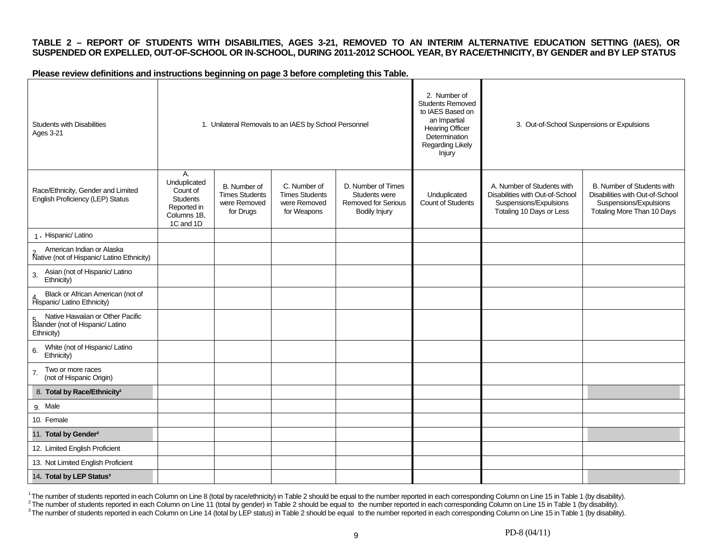#### **TABLE 2 – REPORT OF STUDENTS WITH DISABILITIES, AGES 3-21, REMOVED TO AN INTERIM ALTERNATIVE EDUCATION SETTING (IAES), OR SUSPENDED OR EXPELLED, OUT-OF-SCHOOL OR IN-SCHOOL, DURING 2011-2012 SCHOOL YEAR, BY RACE/ETHNICITY, BY GENDER and BY LEP STATUS**

**Please review definitions and instructions beginning on page 3 before completing this Table.** 

| <b>Students with Disabilities</b><br>Ages 3-21                                                                        | 1. Unilateral Removals to an IAES by School Personnel                                 |                                                                    |                                                                      | 2. Number of<br><b>Students Removed</b><br>to IAES Based on<br>an Impartial<br>Hearing Officer<br>Determination<br>Regarding Likely<br>Injury | 3. Out-of-School Suspensions or Expulsions |                                                                                                                     |                                                                                                                              |
|-----------------------------------------------------------------------------------------------------------------------|---------------------------------------------------------------------------------------|--------------------------------------------------------------------|----------------------------------------------------------------------|-----------------------------------------------------------------------------------------------------------------------------------------------|--------------------------------------------|---------------------------------------------------------------------------------------------------------------------|------------------------------------------------------------------------------------------------------------------------------|
| Race/Ethnicity, Gender and Limited<br>English Proficiency (LEP) Status                                                | А.<br>Unduplicated<br>Count of<br>Students<br>Reported in<br>Columns 1B,<br>1C and 1D | B. Number of<br><b>Times Students</b><br>were Removed<br>for Drugs | C. Number of<br><b>Times Students</b><br>were Removed<br>for Weapons | D. Number of Times<br>Students were<br>Removed for Serious<br>Bodily Injury                                                                   | Unduplicated<br>Count of Students          | A. Number of Students with<br>Disabilities with Out-of-School<br>Suspensions/Expulsions<br>Totaling 10 Days or Less | <b>B. Number of Students with</b><br>Disabilities with Out-of-School<br>Suspensions/Expulsions<br>Totaling More Than 10 Days |
| 1. Hispanic/Latino                                                                                                    |                                                                                       |                                                                    |                                                                      |                                                                                                                                               |                                            |                                                                                                                     |                                                                                                                              |
| American Indian or Alaska<br><b>Native (not of Hispanic/ Latino Ethnicity)</b>                                        |                                                                                       |                                                                    |                                                                      |                                                                                                                                               |                                            |                                                                                                                     |                                                                                                                              |
| Asian (not of Hispanic/ Latino<br>3.<br>Ethnicity)                                                                    |                                                                                       |                                                                    |                                                                      |                                                                                                                                               |                                            |                                                                                                                     |                                                                                                                              |
| Black or African American (not of<br>4 Black of Amean America                                                         |                                                                                       |                                                                    |                                                                      |                                                                                                                                               |                                            |                                                                                                                     |                                                                                                                              |
| Native Hawaiian or Other Pacific<br>5. Native Hawailan or Other Pa<br>Islander (not of Hispanic/ Latino<br>Ethnicity) |                                                                                       |                                                                    |                                                                      |                                                                                                                                               |                                            |                                                                                                                     |                                                                                                                              |
| White (not of Hispanic/ Latino<br>Ethnicity)                                                                          |                                                                                       |                                                                    |                                                                      |                                                                                                                                               |                                            |                                                                                                                     |                                                                                                                              |
| Two or more races<br>7.<br>(not of Hispanic Origin)                                                                   |                                                                                       |                                                                    |                                                                      |                                                                                                                                               |                                            |                                                                                                                     |                                                                                                                              |
| 8. Total by Race/Ethnicity <sup>1</sup>                                                                               |                                                                                       |                                                                    |                                                                      |                                                                                                                                               |                                            |                                                                                                                     |                                                                                                                              |
| 9. Male                                                                                                               |                                                                                       |                                                                    |                                                                      |                                                                                                                                               |                                            |                                                                                                                     |                                                                                                                              |
| 10. Female                                                                                                            |                                                                                       |                                                                    |                                                                      |                                                                                                                                               |                                            |                                                                                                                     |                                                                                                                              |
| 11. Total by Gender <sup>2</sup>                                                                                      |                                                                                       |                                                                    |                                                                      |                                                                                                                                               |                                            |                                                                                                                     |                                                                                                                              |
| 12. Limited English Proficient                                                                                        |                                                                                       |                                                                    |                                                                      |                                                                                                                                               |                                            |                                                                                                                     |                                                                                                                              |
| 13. Not Limited English Proficient                                                                                    |                                                                                       |                                                                    |                                                                      |                                                                                                                                               |                                            |                                                                                                                     |                                                                                                                              |
| 14. Total by LEP Status <sup>3</sup>                                                                                  |                                                                                       |                                                                    |                                                                      |                                                                                                                                               |                                            |                                                                                                                     |                                                                                                                              |

<sup>1</sup>The number of students reported in each Column on Line 8 (total by race/ethnicity) in Table 2 should be equal to the number reported in each corresponding Column on Line 15 in Table 1 (by disability).<br><sup>2</sup>The number of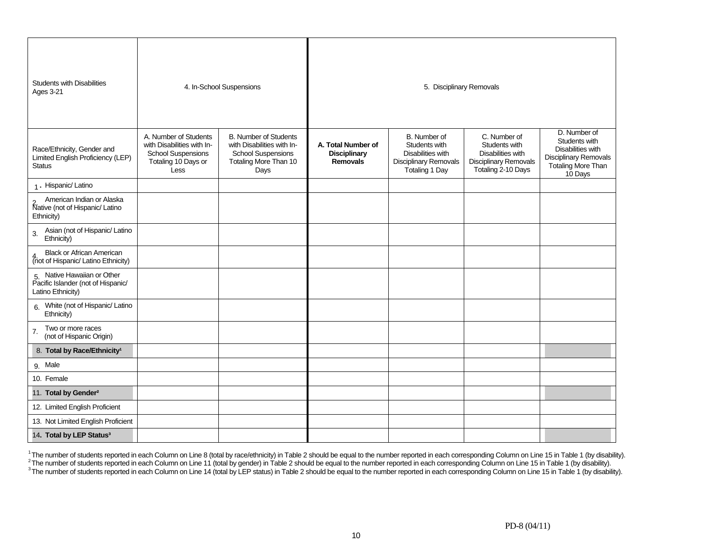| <b>Students with Disabilities</b><br><b>Ages 3-21</b>                                  | 4. In-School Suspensions                                                                                        |                                                                                                                          |                                                              | 5. Disciplinary Removals                                                                             |                                                                                                          |                                                                                                                                   |
|----------------------------------------------------------------------------------------|-----------------------------------------------------------------------------------------------------------------|--------------------------------------------------------------------------------------------------------------------------|--------------------------------------------------------------|------------------------------------------------------------------------------------------------------|----------------------------------------------------------------------------------------------------------|-----------------------------------------------------------------------------------------------------------------------------------|
| Race/Ethnicity, Gender and<br>Limited English Proficiency (LEP)<br><b>Status</b>       | A. Number of Students<br>with Disabilities with In-<br><b>School Suspensions</b><br>Totaling 10 Days or<br>Less | <b>B. Number of Students</b><br>with Disabilities with In-<br><b>School Suspensions</b><br>Totaling More Than 10<br>Days | A. Total Number of<br><b>Disciplinary</b><br><b>Removals</b> | B. Number of<br>Students with<br>Disabilities with<br><b>Disciplinary Removals</b><br>Totaling 1 Day | C. Number of<br>Students with<br>Disabilities with<br><b>Disciplinary Removals</b><br>Totaling 2-10 Days | D. Number of<br>Students with<br><b>Disabilities with</b><br><b>Disciplinary Removals</b><br><b>Totaling More Than</b><br>10 Days |
| 1. Hispanic/ Latino                                                                    |                                                                                                                 |                                                                                                                          |                                                              |                                                                                                      |                                                                                                          |                                                                                                                                   |
| American Indian or Alaska<br><b>Native (not of Hispanic/Latino</b><br>Ethnicity)       |                                                                                                                 |                                                                                                                          |                                                              |                                                                                                      |                                                                                                          |                                                                                                                                   |
| Asian (not of Hispanic/ Latino<br>3.<br>Ethnicity)                                     |                                                                                                                 |                                                                                                                          |                                                              |                                                                                                      |                                                                                                          |                                                                                                                                   |
| <b>Black or African American</b><br>(not of Hispanic/ Latino Ethnicity)                |                                                                                                                 |                                                                                                                          |                                                              |                                                                                                      |                                                                                                          |                                                                                                                                   |
| 5. Native Hawaiian or Other<br>Pacific Islander (not of Hispanic/<br>Latino Ethnicity) |                                                                                                                 |                                                                                                                          |                                                              |                                                                                                      |                                                                                                          |                                                                                                                                   |
| 6. White (not of Hispanic/ Latino<br>Ethnicity)                                        |                                                                                                                 |                                                                                                                          |                                                              |                                                                                                      |                                                                                                          |                                                                                                                                   |
| Two or more races<br>7.<br>(not of Hispanic Origin)                                    |                                                                                                                 |                                                                                                                          |                                                              |                                                                                                      |                                                                                                          |                                                                                                                                   |
| 8. Total by Race/Ethnicity <sup>1</sup>                                                |                                                                                                                 |                                                                                                                          |                                                              |                                                                                                      |                                                                                                          |                                                                                                                                   |
| 9. Male                                                                                |                                                                                                                 |                                                                                                                          |                                                              |                                                                                                      |                                                                                                          |                                                                                                                                   |
| 10. Female                                                                             |                                                                                                                 |                                                                                                                          |                                                              |                                                                                                      |                                                                                                          |                                                                                                                                   |
| 11. Total by Gender <sup>2</sup>                                                       |                                                                                                                 |                                                                                                                          |                                                              |                                                                                                      |                                                                                                          |                                                                                                                                   |
| 12. Limited English Proficient                                                         |                                                                                                                 |                                                                                                                          |                                                              |                                                                                                      |                                                                                                          |                                                                                                                                   |
| 13. Not Limited English Proficient                                                     |                                                                                                                 |                                                                                                                          |                                                              |                                                                                                      |                                                                                                          |                                                                                                                                   |
| 14. Total by LEP Status <sup>3</sup>                                                   |                                                                                                                 |                                                                                                                          |                                                              |                                                                                                      |                                                                                                          |                                                                                                                                   |

<sup>1</sup>The number of students reported in each Column on Line 8 (total by race/ethnicity) in Table 2 should be equal to the number reported in each corresponding Column on Line 15 in Table 1 (by disability).<br><sup>2</sup>The number of